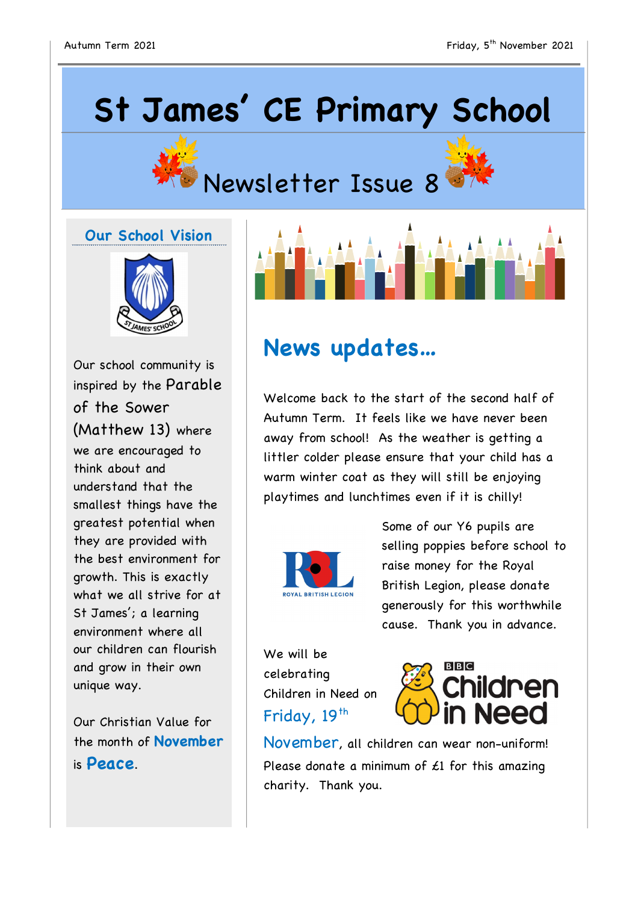# **St James' CE Primary School**





### **Our School Vision**



Our school community is inspired by the Parable of the Sower (Matthew 13) where we are encouraged to think about and understand that the smallest things have the greatest potential when they are provided with the best environment for growth. This is exactly what we all strive for at St James'; a learning environment where all our children can flourish and grow in their own unique way.

Our Christian Value for the month of **November** is **Peace**.

## **News updates…**

Welcome back to the start of the second half of Autumn Term. It feels like we have never been away from school! As the weather is getting a littler colder please ensure that your child has a warm winter coat as they will still be enjoying playtimes and lunchtimes even if it is chilly!



Some of our Y6 pupils are selling poppies before school to raise money for the Royal British Legion, please donate generously for this worthwhile cause. Thank you in advance.

We will be celebrating Children in Need on Friday, 19<sup>th</sup>



November, all children can wear non-uniform! Please donate a minimum of  $£1$  for this amazing charity. Thank you.